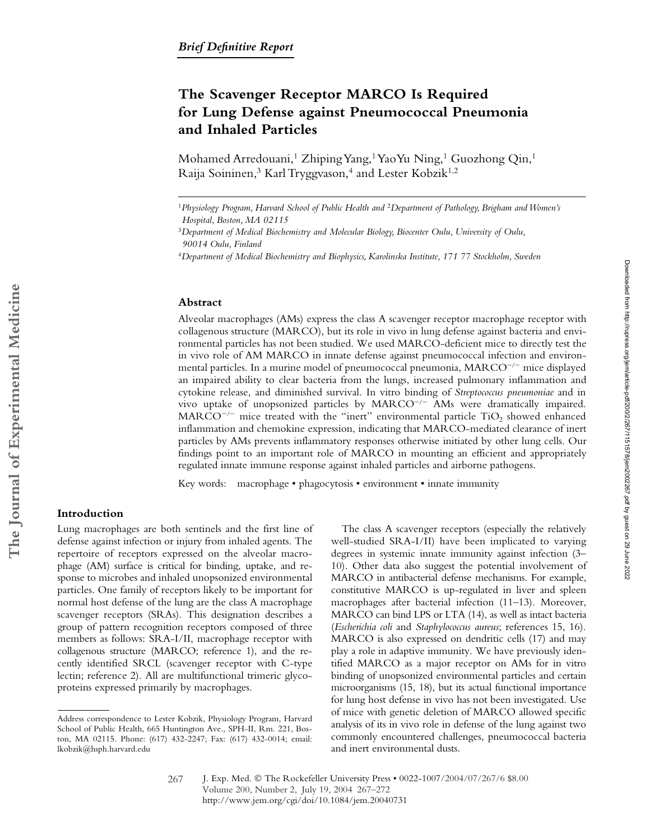# **The Scavenger Receptor MARCO Is Required for Lung Defense against Pneumococcal Pneumonia and Inhaled Particles**

Mohamed Arredouani,<sup>1</sup> Zhiping Yang,<sup>1</sup> YaoYu Ning,<sup>1</sup> Guozhong Qin,<sup>1</sup> Raija Soininen,<sup>3</sup> Karl Tryggvason,<sup>4</sup> and Lester Kobzik<sup>1,2</sup>

#### **Abstract**

Alveolar macrophages (AMs) express the class A scavenger receptor macrophage receptor with collagenous structure (MARCO), but its role in vivo in lung defense against bacteria and environmental particles has not been studied. We used MARCO-deficient mice to directly test the in vivo role of AM MARCO in innate defense against pneumococcal infection and environmental particles. In a murine model of pneumococcal pneumonia, MARCO<sup>-/-</sup> mice displayed an impaired ability to clear bacteria from the lungs, increased pulmonary inflammation and cytokine release, and diminished survival. In vitro binding of *Streptococcus pneumoniae* and in vivo uptake of unopsonized particles by MARCO<sup>-/-</sup> AMs were dramatically impaired.  $\text{MARCO}^{-/-}$  mice treated with the "inert" environmental particle TiO<sub>2</sub> showed enhanced inflammation and chemokine expression, indicating that MARCO-mediated clearance of inert particles by AMs prevents inflammatory responses otherwise initiated by other lung cells. Our findings point to an important role of MARCO in mounting an efficient and appropriately regulated innate immune response against inhaled particles and airborne pathogens.

Key words: macrophage • phagocytosis • environment • innate immunity

# **Introduction**

**The Journal of Experimental Medicine**

The Journal of Experimental Medicine

Lung macrophages are both sentinels and the first line of defense against infection or injury from inhaled agents. The repertoire of receptors expressed on the alveolar macrophage (AM) surface is critical for binding, uptake, and response to microbes and inhaled unopsonized environmental particles. One family of receptors likely to be important for normal host defense of the lung are the class A macrophage scavenger receptors (SRAs). This designation describes a group of pattern recognition receptors composed of three members as follows: SRA-I/II, macrophage receptor with collagenous structure (MARCO; reference 1), and the recently identified SRCL (scavenger receptor with C-type lectin; reference 2). All are multifunctional trimeric glycoproteins expressed primarily by macrophages.

The class A scavenger receptors (especially the relatively well-studied SRA-I/II) have been implicated to varying degrees in systemic innate immunity against infection (3– 10). Other data also suggest the potential involvement of MARCO in antibacterial defense mechanisms. For example, constitutive MARCO is up-regulated in liver and spleen macrophages after bacterial infection (11–13). Moreover, MARCO can bind LPS or LTA (14), as well as intact bacteria (*Escherichia coli* and *Staphylococcus aureus*; references 15, 16). MARCO is also expressed on dendritic cells (17) and may play a role in adaptive immunity. We have previously identified MARCO as a major receptor on AMs for in vitro binding of unopsonized environmental particles and certain microorganisms (15, 18), but its actual functional importance for lung host defense in vivo has not been investigated. Use of mice with genetic deletion of MARCO allowed specific analysis of its in vivo role in defense of the lung against two commonly encountered challenges, pneumococcal bacteria and inert environmental dusts.

<sup>1</sup>*Physiology Program, Harvard School of Public Health and* <sup>2</sup>*Department of Pathology, Brigham and Women's Hospital, Boston, MA 02115*

<sup>3</sup>*Department of Medical Biochemistry and Molecular Biology, Biocenter Oulu, University of Oulu, 90014 Oulu, Finland*

<sup>4</sup>*Department of Medical Biochemistry and Biophysics, Karolinska Institute, 171 77 Stockholm, Sweden*

Address correspondence to Lester Kobzik, Physiology Program, Harvard School of Public Health, 665 Huntington Ave., SPH-II, Rm. 221, Boston, MA 02115. Phone: (617) 432-2247; Fax: (617) 432-0014; email: lkobzik@hsph.harvard.edu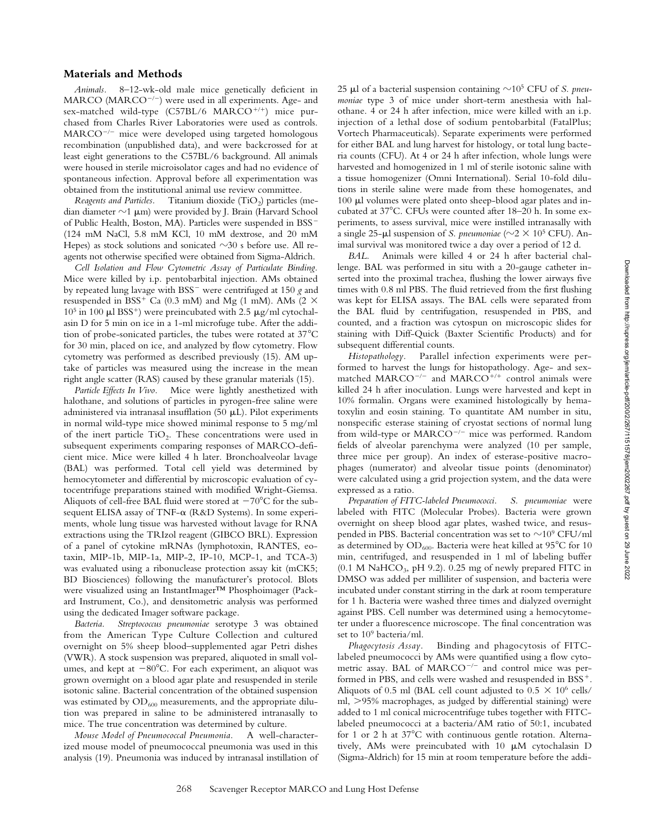## **Materials and Methods**

*Animals.* 8–12-wk-old male mice genetically deficient in MARCO (MARCO<sup>-/-</sup>) were used in all experiments. Age- and sex-matched wild-type  $(C57BL/6$  MARCO<sup>+/+</sup>) mice purchased from Charles River Laboratories were used as controls. MARCO<sup>-/-</sup> mice were developed using targeted homologous recombination (unpublished data), and were backcrossed for at least eight generations to the C57BL/6 background. All animals were housed in sterile microisolator cages and had no evidence of spontaneous infection. Approval before all experimentation was obtained from the institutional animal use review committee.

*Reagents and Particles.* Titanium dioxide (TiO<sub>2</sub>) particles (median diameter  $\sim$ 1  $\mu$ m) were provided by J. Brain (Harvard School of Public Health, Boston, MA). Particles were suspended in BSS- (124 mM NaCl, 5.8 mM KCl, 10 mM dextrose, and 20 mM Hepes) as stock solutions and sonicated  $\sim$ 30 s before use. All reagents not otherwise specified were obtained from Sigma-Aldrich.

*Cell Isolation and Flow Cytometric Assay of Particulate Binding.* Mice were killed by i.p. pentobarbital injection. AMs obtained by repeated lung lavage with BSS- were centrifuged at 150 *g* and resuspended in BSS<sup>+</sup> Ca (0.3 mM) and Mg (1 mM). AMs (2  $\times$  $10<sup>5</sup>$  in 100  $\mu$ l BSS<sup>+</sup>) were preincubated with 2.5  $\mu$ g/ml cytochalasin D for 5 min on ice in a 1-ml microfuge tube. After the addition of probe-sonicated particles, the tubes were rotated at  $37^{\circ}$ C for 30 min, placed on ice, and analyzed by flow cytometry. Flow cytometry was performed as described previously (15). AM uptake of particles was measured using the increase in the mean right angle scatter (RAS) caused by these granular materials (15).

*Particle Effects In Vivo.* Mice were lightly anesthetized with halothane, and solutions of particles in pyrogen-free saline were administered via intranasal insufflation (50  $\mu$ L). Pilot experiments in normal wild-type mice showed minimal response to 5 mg/ml of the inert particle  $TiO<sub>2</sub>$ . These concentrations were used in subsequent experiments comparing responses of MARCO-deficient mice. Mice were killed 4 h later. Bronchoalveolar lavage (BAL) was performed. Total cell yield was determined by hemocytometer and differential by microscopic evaluation of cytocentrifuge preparations stained with modified Wright-Giemsa. Aliquots of cell-free BAL fluid were stored at  $-70^{\circ}$ C for the subsequent ELISA assay of TNF- $\alpha$  (R&D Systems). In some experiments, whole lung tissue was harvested without lavage for RNA extractions using the TRIzol reagent (GIBCO BRL). Expression of a panel of cytokine mRNAs (lymphotoxin, RANTES, eotaxin, MIP-1b, MIP-1a, MIP-2, IP-10, MCP-1, and TCA-3) was evaluated using a ribonuclease protection assay kit (mCK5; BD Biosciences) following the manufacturer's protocol. Blots were visualized using an InstantImager™ Phosphoimager (Packard Instrument, Co.), and densitometric analysis was performed using the dedicated Imager software package.

*Bacteria. Streptococcus pneumoniae* serotype 3 was obtained from the American Type Culture Collection and cultured overnight on 5% sheep blood–supplemented agar Petri dishes (VWR). A stock suspension was prepared, aliquoted in small volumes, and kept at  $-80^{\circ}$ C. For each experiment, an aliquot was grown overnight on a blood agar plate and resuspended in sterile isotonic saline. Bacterial concentration of the obtained suspension was estimated by  $OD_{600}$  measurements, and the appropriate dilution was prepared in saline to be administered intranasally to mice. The true concentration was determined by culture.

*Mouse Model of Pneumococcal Pneumonia.* A well-characterized mouse model of pneumococcal pneumonia was used in this analysis (19). Pneumonia was induced by intranasal instillation of

25  $\mu$ l of a bacterial suspension containing  $\sim$ 10<sup>5</sup> CFU of *S. pneumoniae* type 3 of mice under short-term anesthesia with halothane. 4 or 24 h after infection, mice were killed with an i.p. injection of a lethal dose of sodium pentobarbital (FatalPlus; Vortech Pharmaceuticals). Separate experiments were performed for either BAL and lung harvest for histology, or total lung bacteria counts (CFU). At 4 or 24 h after infection, whole lungs were harvested and homogenized in 1 ml of sterile isotonic saline with a tissue homogenizer (Omni International). Serial 10-fold dilutions in sterile saline were made from these homogenates, and 100  $\mu$ l volumes were plated onto sheep-blood agar plates and incubated at  $37^{\circ}$ C. CFUs were counted after  $18-20$  h. In some experiments, to assess survival, mice were instilled intranasally with a single 25- $\mu$ l suspension of *S. pneumoniae* ( $\sim$ 2  $\times$  10<sup>5</sup> CFU). Animal survival was monitored twice a day over a period of 12 d.

*BAL.* Animals were killed 4 or 24 h after bacterial challenge. BAL was performed in situ with a 20-gauge catheter inserted into the proximal trachea, flushing the lower airways five times with 0.8 ml PBS. The fluid retrieved from the first flushing was kept for ELISA assays. The BAL cells were separated from the BAL fluid by centrifugation, resuspended in PBS, and counted, and a fraction was cytospun on microscopic slides for staining with Diff-Quick (Baxter Scientific Products) and for subsequent differential counts.

*Histopathology.* Parallel infection experiments were performed to harvest the lungs for histopathology. Age- and sexmatched MARCO<sup>-/-</sup> and MARCO<sup>+/+</sup> control animals were killed 24 h after inoculation. Lungs were harvested and kept in 10% formalin. Organs were examined histologically by hematoxylin and eosin staining. To quantitate AM number in situ, nonspecific esterase staining of cryostat sections of normal lung from wild-type or MARCO<sup>-/-</sup> mice was performed. Random fields of alveolar parenchyma were analyzed (10 per sample, three mice per group). An index of esterase-positive macrophages (numerator) and alveolar tissue points (denominator) were calculated using a grid projection system, and the data were expressed as a ratio.

*Preparation of FITC-labeled Pneumococci. S. pneumoniae* were labeled with FITC (Molecular Probes). Bacteria were grown overnight on sheep blood agar plates, washed twice, and resuspended in PBS. Bacterial concentration was set to  $\sim$ 10 $^9$  CFU/ml as determined by  $OD_{600}$ . Bacteria were heat killed at 95 $\mathrm{^{\circ}C}$  for 10 min, centrifuged, and resuspended in 1 ml of labeling buffer  $(0.1 \text{ M } \text{NaHCO}_3, \text{pH } 9.2)$ . 0.25 mg of newly prepared FITC in DMSO was added per milliliter of suspension, and bacteria were incubated under constant stirring in the dark at room temperature for 1 h. Bacteria were washed three times and dialyzed overnight against PBS. Cell number was determined using a hemocytometer under a fluorescence microscope. The final concentration was set to 109 bacteria/ml.

*Phagocytosis Assay.* Binding and phagocytosis of FITClabeled pneumococci by AMs were quantified using a flow cytometric assay. BAL of MARCO<sup>-/-</sup> and control mice was performed in PBS, and cells were washed and resuspended in BSS<sup>+</sup>. Aliquots of 0.5 ml (BAL cell count adjusted to  $0.5 \times 10^6$  cells/ ml,  $>95\%$  macrophages, as judged by differential staining) were added to 1 ml conical microcentrifuge tubes together with FITClabeled pneumococci at a bacteria/AM ratio of 50:1, incubated for 1 or 2 h at  $37^{\circ}$ C with continuous gentle rotation. Alternatively, AMs were preincubated with  $10 \mu M$  cytochalasin D (Sigma-Aldrich) for 15 min at room temperature before the addi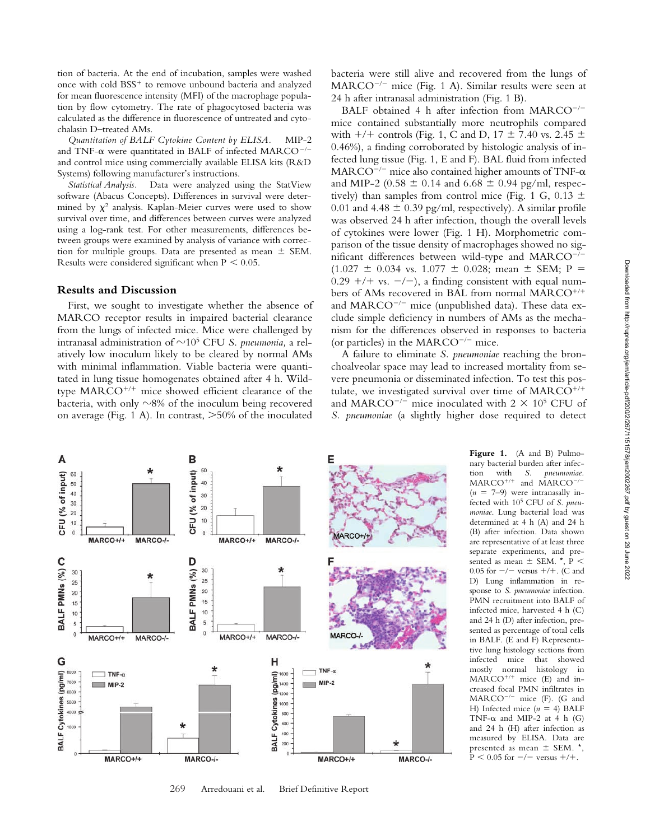tion of bacteria. At the end of incubation, samples were washed once with cold  $BSS<sup>+</sup>$  to remove unbound bacteria and analyzed for mean fluorescence intensity (MFI) of the macrophage population by flow cytometry. The rate of phagocytosed bacteria was calculated as the difference in fluorescence of untreated and cytochalasin D–treated AMs.

*Quantitation of BALF Cytokine Content by ELISA.* MIP-2 and TNF- $\alpha$  were quantitated in BALF of infected MARCO<sup>-/-</sup> and control mice using commercially available ELISA kits (R&D Systems) following manufacturer's instructions.

*Statistical Analysis.* Data were analyzed using the StatView software (Abacus Concepts). Differences in survival were determined by  $\chi^2$  analysis. Kaplan-Meier curves were used to show survival over time, and differences between curves were analyzed using a log-rank test. For other measurements, differences between groups were examined by analysis of variance with correction for multiple groups. Data are presented as mean  $\pm$  SEM. Results were considered significant when  $P < 0.05$ .

## **Results and Discussion**

First, we sought to investigate whether the absence of MARCO receptor results in impaired bacterial clearance from the lungs of infected mice. Mice were challenged by intranasal administration of  $\sim$ 10<sup>5</sup> CFU *S. pneumonia,* a relatively low inoculum likely to be cleared by normal AMs with minimal inflammation. Viable bacteria were quantitated in lung tissue homogenates obtained after 4 h. Wildtype  $MARCO^{+/+}$  mice showed efficient clearance of the bacteria, with only  $\sim$ 8% of the inoculum being recovered on average (Fig. 1 A). In contrast,  $>50\%$  of the inoculated bacteria were still alive and recovered from the lungs of MARCO<sup>-/-</sup> mice (Fig. 1 A). Similar results were seen at 24 h after intranasal administration (Fig. 1 B).

BALF obtained 4 h after infection from MARCO<sup>-/-</sup> mice contained substantially more neutrophils compared with  $+/+$  controls (Fig. 1, C and D, 17  $\pm$  7.40 vs. 2.45  $\pm$ 0.46%), a finding corroborated by histologic analysis of infected lung tissue (Fig. 1, E and F). BAL fluid from infected  $\mathrm{MARCO}^{-/-}$  mice also contained higher amounts of TNF- $\alpha$ and MIP-2 (0.58  $\pm$  0.14 and 6.68  $\pm$  0.94 pg/ml, respectively) than samples from control mice (Fig. 1 G, 0.13  $\pm$ 0.01 and 4.48  $\pm$  0.39 pg/ml, respectively). A similar profile was observed 24 h after infection, though the overall levels of cytokines were lower (Fig. 1 H). Morphometric comparison of the tissue density of macrophages showed no significant differences between wild-type and MARCO<sup>-</sup>  $\left\vert -\right\vert$  $(1.027 \pm 0.034 \text{ vs. } 1.077 \pm 0.028; \text{ mean } \pm \text{ SEM}; \text{ P} =$  $0.29 + +$  vs.  $-/-$ ), a finding consistent with equal numbers of AMs recovered in BAL from normal MARCO and MARCO<sup>-/-</sup> mice (unpublished data). These data exclude simple deficiency in numbers of AMs as the mechanism for the differences observed in responses to bacteria (or particles) in the MARCO $^{-/-}$  mice.

A failure to eliminate *S. pneumoniae* reaching the bronchoalveolar space may lead to increased mortality from severe pneumonia or disseminated infection. To test this postulate, we investigated survival over time of MARCO<sup>+/+</sup> and MARCO<sup>-/-</sup> mice inoculated with  $2 \times 10^5$  CFU of *S. pneumoniae* (a slightly higher dose required to detect



nary bacterial burden after infection with *S. pneumoniae.*  $MARCO^{+/+}$  and  $MARCO^{-/-}$  $(n = 7-9)$  were intranasally infected with 105 CFU of *S. pneumoniae*. Lung bacterial load was determined at 4 h (A) and 24 h (B) after infection. Data shown are representative of at least three separate experiments, and presented as mean  $\pm$  SEM.  $^{\star}$ , P < 0.05 for  $-/-$  versus  $+/+$ . (C and D) Lung inflammation in response to *S. pneumoniae* infection. PMN recruitment into BALF of infected mice, harvested 4 h (C) and 24 h (D) after infection, presented as percentage of total cells in BALF. (E and F) Representative lung histology sections from infected mice that showed mostly normal histology in  $MARCO^{+/+}$  mice (E) and increased focal PMN infiltrates in  $\text{MARCO}^{-/-}$  mice (F). (G and H) Infected mice  $(n = 4)$  BALF TNF- $\alpha$  and MIP-2 at 4 h (G) and 24 h (H) after infection as measured by ELISA. Data are presented as mean  $\pm$  SEM.  $^{\star}$ ,  $P < 0.05$  for  $-/-$  versus  $+/+$ .

**Figure 1.** (A and B) Pulmo-

269 Arredouani et al. Brief Definitive Report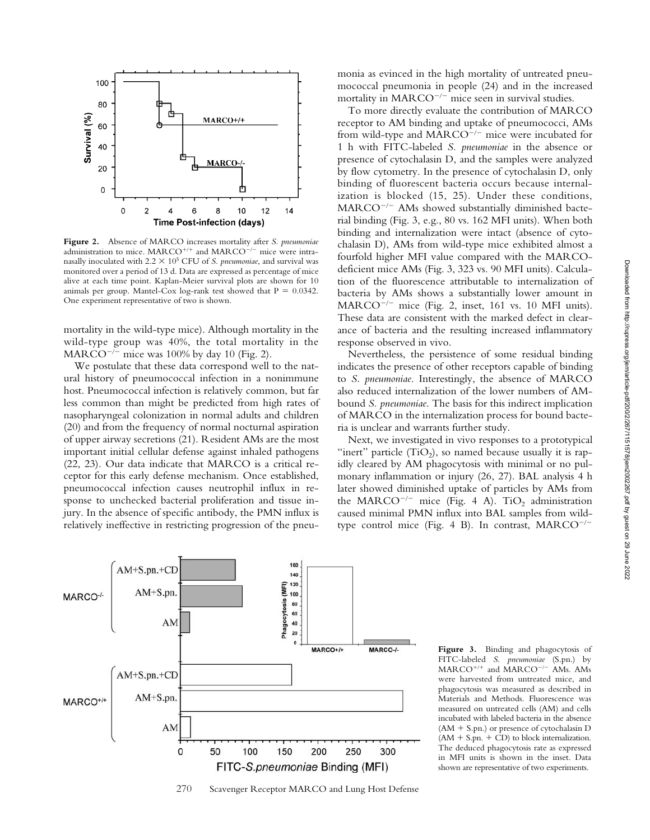

**Figure 2.** Absence of MARCO increases mortality after *S. pneumoniae* administration to mice. MARCO<sup>+/+</sup> and MARCO<sup>-/-</sup> mice were intranasally inoculated with  $2.2 \times 10^5$  CFU of *S. pneumoniae*, and survival was monitored over a period of 13 d. Data are expressed as percentage of mice alive at each time point. Kaplan-Meier survival plots are shown for 10 animals per group. Mantel-Cox log-rank test showed that  $P = 0.0342$ . One experiment representative of two is shown.

mortality in the wild-type mice). Although mortality in the wild-type group was 40%, the total mortality in the  $\text{MARCO}^{-/-}$  mice was 100% by day 10 (Fig. 2).

We postulate that these data correspond well to the natural history of pneumococcal infection in a nonimmune host. Pneumococcal infection is relatively common, but far less common than might be predicted from high rates of nasopharyngeal colonization in normal adults and children (20) and from the frequency of normal nocturnal aspiration of upper airway secretions (21). Resident AMs are the most important initial cellular defense against inhaled pathogens (22, 23). Our data indicate that MARCO is a critical receptor for this early defense mechanism. Once established, pneumococcal infection causes neutrophil influx in response to unchecked bacterial proliferation and tissue injury. In the absence of specific antibody, the PMN influx is relatively ineffective in restricting progression of the pneumonia as evinced in the high mortality of untreated pneumococcal pneumonia in people (24) and in the increased mortality in MARCO<sup>-/-</sup> mice seen in survival studies.

To more directly evaluate the contribution of MARCO receptor to AM binding and uptake of pneumococci, AMs from wild-type and MARCO<sup>-/-</sup> mice were incubated for 1 h with FITC-labeled *S. pneumoniae* in the absence or presence of cytochalasin D, and the samples were analyzed by flow cytometry. In the presence of cytochalasin D, only binding of fluorescent bacteria occurs because internalization is blocked (15, 25). Under these conditions, MARCO<sup>-/-</sup> AMs showed substantially diminished bacterial binding (Fig. 3, e.g., 80 vs. 162 MFI units). When both binding and internalization were intact (absence of cytochalasin D), AMs from wild-type mice exhibited almost a fourfold higher MFI value compared with the MARCOdeficient mice AMs (Fig. 3, 323 vs. 90 MFI units). Calculation of the fluorescence attributable to internalization of bacteria by AMs shows a substantially lower amount in MARCO<sup>-/-</sup> mice (Fig. 2, inset, 161 vs. 10 MFI units). These data are consistent with the marked defect in clearance of bacteria and the resulting increased inflammatory response observed in vivo.

Nevertheless, the persistence of some residual binding indicates the presence of other receptors capable of binding to *S. pneumoniae.* Interestingly, the absence of MARCO also reduced internalization of the lower numbers of AMbound *S. pneumoniae*. The basis for this indirect implication of MARCO in the internalization process for bound bacteria is unclear and warrants further study.

Next, we investigated in vivo responses to a prototypical "inert" particle  $(TiO<sub>2</sub>)$ , so named because usually it is rapidly cleared by AM phagocytosis with minimal or no pulmonary inflammation or injury (26, 27). BAL analysis 4 h later showed diminished uptake of particles by AMs from the MARCO<sup>-/-</sup> mice (Fig. 4 A). TiO<sub>2</sub> administration caused minimal PMN influx into BAL samples from wildtype control mice (Fig. 4 B). In contrast, MARCO<sup>-/-</sup>



270 Scavenger Receptor MARCO and Lung Host Defense

**Figure 3.** Binding and phagocytosis of FITC-labeled *S. pneumoniae* (S.pn.) by  $MARCO^{+/+}$  and  $MARCO^{-/-}$  AMs. AMs were harvested from untreated mice, and phagocytosis was measured as described in Materials and Methods. Fluorescence was measured on untreated cells (AM) and cells incubated with labeled bacteria in the absence  $(AM + S.pn.)$  or presence of cytochalasin D  $(AM + S.pn. + CD)$  to block internalization. The deduced phagocytosis rate as expressed in MFI units is shown in the inset. Data shown are representative of two experiments.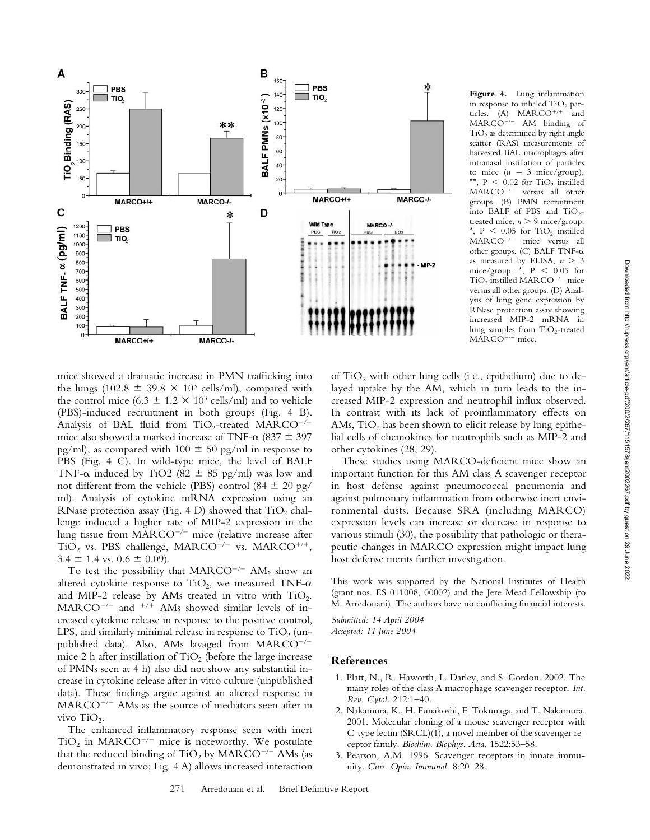

**Figure 4.** Lung inflammation in response to inhaled  $TiO<sub>2</sub>$  particles. (A)  $MARCO^{+/+}$  and MARCO<sup>-/-</sup> AM binding of  $TiO<sub>2</sub>$  as determined by right angle scatter (RAS) measurements of harvested BAL macrophages after intranasal instillation of particles to mice  $(n = 3$  mice/group), \*\*,  $P < 0.02$  for TiO<sub>2</sub> instilled MARCO-- versus all other groups. (B) PMN recruitment into BALF of PBS and  $TiO<sub>2</sub>$ treated mice,  $n > 9$  mice/group. \*,  $P \leq 0.05$  for  $TiO<sub>2</sub>$  instilled MARCO<sup>-/-</sup> mice versus all other groups. (C) BALF TNF- $\alpha$ as measured by ELISA,  $n > 3$ mice/group.  $\star$ , P < 0.05 for  $TiO<sub>2</sub>$  instilled MARCO<sup>-/-</sup> mice versus all other groups. (D) Analysis of lung gene expression by RNase protection assay showing increased MIP-2 mRNA in lung samples from  $TiO<sub>2</sub>$ -treated MARCO<sup>-/-</sup> mice.

mice showed a dramatic increase in PMN trafficking into the lungs (102.8  $\pm$  39.8  $\times$  10<sup>3</sup> cells/ml), compared with the control mice (6.3  $\pm$  1.2  $\times$  10<sup>3</sup> cells/ml) and to vehicle (PBS)-induced recruitment in both groups (Fig. 4 B). Analysis of BAL fluid from  $TiO_2$ -treated MARCO<sup>-/-</sup> mice also showed a marked increase of TNF- $\alpha$  (837  $\pm$  397 pg/ml), as compared with  $100 \pm 50$  pg/ml in response to PBS (Fig. 4 C). In wild-type mice, the level of BALF TNF- $\alpha$  induced by TiO2 (82  $\pm$  85 pg/ml) was low and not different from the vehicle (PBS) control (84  $\pm$  20 pg/ ml). Analysis of cytokine mRNA expression using an RNase protection assay (Fig. 4 D) showed that  $TiO<sub>2</sub>$  challenge induced a higher rate of MIP-2 expression in the lung tissue from MARCO<sup>-/-</sup> mice (relative increase after  $TiO<sub>2</sub>$  vs. PBS challenge, MARCO<sup>-/-</sup> vs. MARCO<sup>+/+</sup>,  $3.4 \pm 1.4$  vs.  $0.6 \pm 0.09$ ).

To test the possibility that  $MARCO^{-/-}$  AMs show an altered cytokine response to TiO<sub>2</sub>, we measured TNF- $\alpha$ and MIP-2 release by AMs treated in vitro with  $TiO<sub>2</sub>$ .  $MARCO^{-/-}$  and  $^{+/+}$  AMs showed similar levels of increased cytokine release in response to the positive control, LPS, and similarly minimal release in response to  $TiO<sub>2</sub>$  (unpublished data). Also, AMs lavaged from MARCO<sup>-/-</sup> mice 2 h after instillation of  $TiO<sub>2</sub>$  (before the large increase of PMNs seen at 4 h) also did not show any substantial increase in cytokine release after in vitro culture (unpublished data). These findings argue against an altered response in MARCO<sup>-/-</sup> AMs as the source of mediators seen after in vivo TiO<sub>2</sub>.

The enhanced inflammatory response seen with inert  $TiO<sub>2</sub>$  in MARCO<sup>-/-</sup> mice is noteworthy. We postulate that the reduced binding of  $\rm TiO_2$  by  $\rm MARCO^{-/-}$  AMs (as demonstrated in vivo; Fig. 4 A) allows increased interaction

of  $TiO<sub>2</sub>$  with other lung cells (i.e., epithelium) due to delayed uptake by the AM, which in turn leads to the increased MIP-2 expression and neutrophil influx observed. In contrast with its lack of proinflammatory effects on AMs,  $TiO<sub>2</sub>$  has been shown to elicit release by lung epithelial cells of chemokines for neutrophils such as MIP-2 and other cytokines (28, 29).

These studies using MARCO-deficient mice show an important function for this AM class A scavenger receptor in host defense against pneumococcal pneumonia and against pulmonary inflammation from otherwise inert environmental dusts. Because SRA (including MARCO) expression levels can increase or decrease in response to various stimuli (30), the possibility that pathologic or therapeutic changes in MARCO expression might impact lung host defense merits further investigation.

This work was supported by the National Institutes of Health (grant nos. ES 011008, 00002) and the Jere Mead Fellowship (to M. Arredouani). The authors have no conflicting financial interests.

*Submitted: 14 April 2004 Accepted: 11 June 2004*

#### **References**

- 1. Platt, N., R. Haworth, L. Darley, and S. Gordon. 2002. The many roles of the class A macrophage scavenger receptor. *Int. Rev. Cytol.* 212:1–40.
- 2. Nakamura, K., H. Funakoshi, F. Tokunaga, and T. Nakamura. 2001. Molecular cloning of a mouse scavenger receptor with C-type lectin (SRCL)(1), a novel member of the scavenger receptor family. *Biochim. Biophys. Acta.* 1522:53–58.
- 3. Pearson, A.M. 1996. Scavenger receptors in innate immunity. *Curr. Opin. Immunol.* 8:20–28.